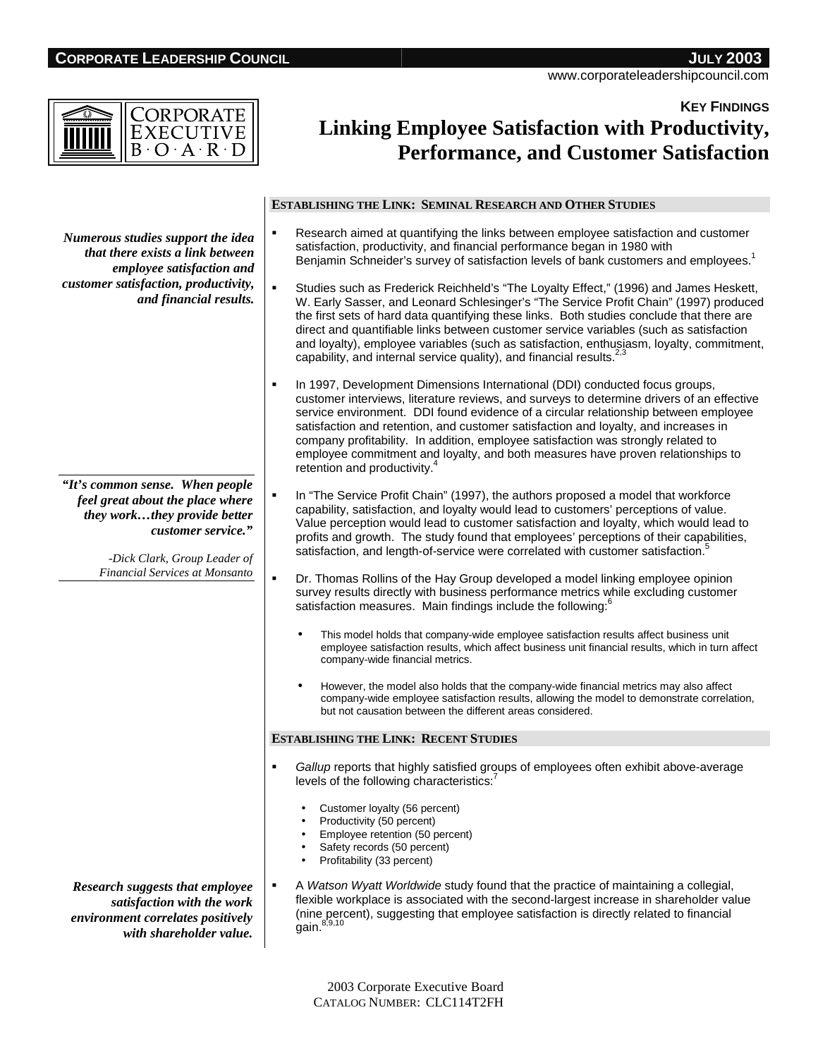# **CORPORATE LEADERSHIP COUNCIL JULY 2003**

www.corporateleadershipcouncil.com

**KEY FINDINGS**

| c<br>$\Delta$ |
|---------------|
|---------------|

# **Linking Employee Satisfaction with Productivity, Performance, and Customer Satisfaction**

|                                                                                                                                                                                                    | <b>ESTABLISHING THE LINK: SEMINAL RESEARCH AND OTHER STUDIES</b>                                                                                                                                                                                                                                                                                                                                                                                                                                                                                                                |
|----------------------------------------------------------------------------------------------------------------------------------------------------------------------------------------------------|---------------------------------------------------------------------------------------------------------------------------------------------------------------------------------------------------------------------------------------------------------------------------------------------------------------------------------------------------------------------------------------------------------------------------------------------------------------------------------------------------------------------------------------------------------------------------------|
| Numerous studies support the idea<br>that there exists a link between<br>employee satisfaction and<br>customer satisfaction, productivity,<br>and financial results.                               | Research aimed at quantifying the links between employee satisfaction and customer<br>satisfaction, productivity, and financial performance began in 1980 with<br>Benjamin Schneider's survey of satisfaction levels of bank customers and employees. <sup>1</sup>                                                                                                                                                                                                                                                                                                              |
|                                                                                                                                                                                                    | Studies such as Frederick Reichheld's "The Loyalty Effect," (1996) and James Heskett,<br>W. Early Sasser, and Leonard Schlesinger's "The Service Profit Chain" (1997) produced<br>the first sets of hard data quantifying these links. Both studies conclude that there are<br>direct and quantifiable links between customer service variables (such as satisfaction<br>and loyalty), employee variables (such as satisfaction, enthusiasm, loyalty, commitment,<br>capability, and internal service quality), and financial results. <sup>2,3</sup>                           |
|                                                                                                                                                                                                    | In 1997, Development Dimensions International (DDI) conducted focus groups,<br>٠<br>customer interviews, literature reviews, and surveys to determine drivers of an effective<br>service environment. DDI found evidence of a circular relationship between employee<br>satisfaction and retention, and customer satisfaction and loyalty, and increases in<br>company profitability. In addition, employee satisfaction was strongly related to<br>employee commitment and loyalty, and both measures have proven relationships to<br>retention and productivity. <sup>4</sup> |
| "It's common sense. When people<br>feel great about the place where<br>they workthey provide better<br>customer service."<br>-Dick Clark, Group Leader of<br><b>Financial Services at Monsanto</b> | In "The Service Profit Chain" (1997), the authors proposed a model that workforce<br>capability, satisfaction, and loyalty would lead to customers' perceptions of value.<br>Value perception would lead to customer satisfaction and loyalty, which would lead to<br>profits and growth. The study found that employees' perceptions of their capabilities,<br>satisfaction, and length-of-service were correlated with customer satisfaction. <sup>5</sup>                                                                                                                    |
|                                                                                                                                                                                                    | ٠<br>Dr. Thomas Rollins of the Hay Group developed a model linking employee opinion<br>survey results directly with business performance metrics while excluding customer<br>satisfaction measures. Main findings include the following: <sup>6</sup>                                                                                                                                                                                                                                                                                                                           |
|                                                                                                                                                                                                    | This model holds that company-wide employee satisfaction results affect business unit<br>$\bullet$<br>employee satisfaction results, which affect business unit financial results, which in turn affect<br>company-wide financial metrics.                                                                                                                                                                                                                                                                                                                                      |
|                                                                                                                                                                                                    | However, the model also holds that the company-wide financial metrics may also affect<br>$\bullet$<br>company-wide employee satisfaction results, allowing the model to demonstrate correlation,<br>but not causation between the different areas considered.                                                                                                                                                                                                                                                                                                                   |
|                                                                                                                                                                                                    | <b>ESTABLISHING THE LINK: RECENT STUDIES</b>                                                                                                                                                                                                                                                                                                                                                                                                                                                                                                                                    |
|                                                                                                                                                                                                    | Gallup reports that highly satisfied groups of employees often exhibit above-average<br>levels of the following characteristics: <sup>7</sup>                                                                                                                                                                                                                                                                                                                                                                                                                                   |
|                                                                                                                                                                                                    | Customer loyalty (56 percent)<br>Productivity (50 percent)<br>Employee retention (50 percent)<br>Safety records (50 percent)<br>Profitability (33 percent)                                                                                                                                                                                                                                                                                                                                                                                                                      |
| Research suggests that employee<br>satisfaction with the work<br>environment correlates positively<br>with changholder value                                                                       | A Watson Wyatt Worldwide study found that the practice of maintaining a collegial,<br>flexible workplace is associated with the second-largest increase in shareholder value<br>(nine percent), suggesting that employee satisfaction is directly related to financial<br>gain. 8,9,10                                                                                                                                                                                                                                                                                          |

*environment correlates positively with shareholder value.*

> 2003 Corporate Executive Board CATALOG NUMBER: CLC114T2FH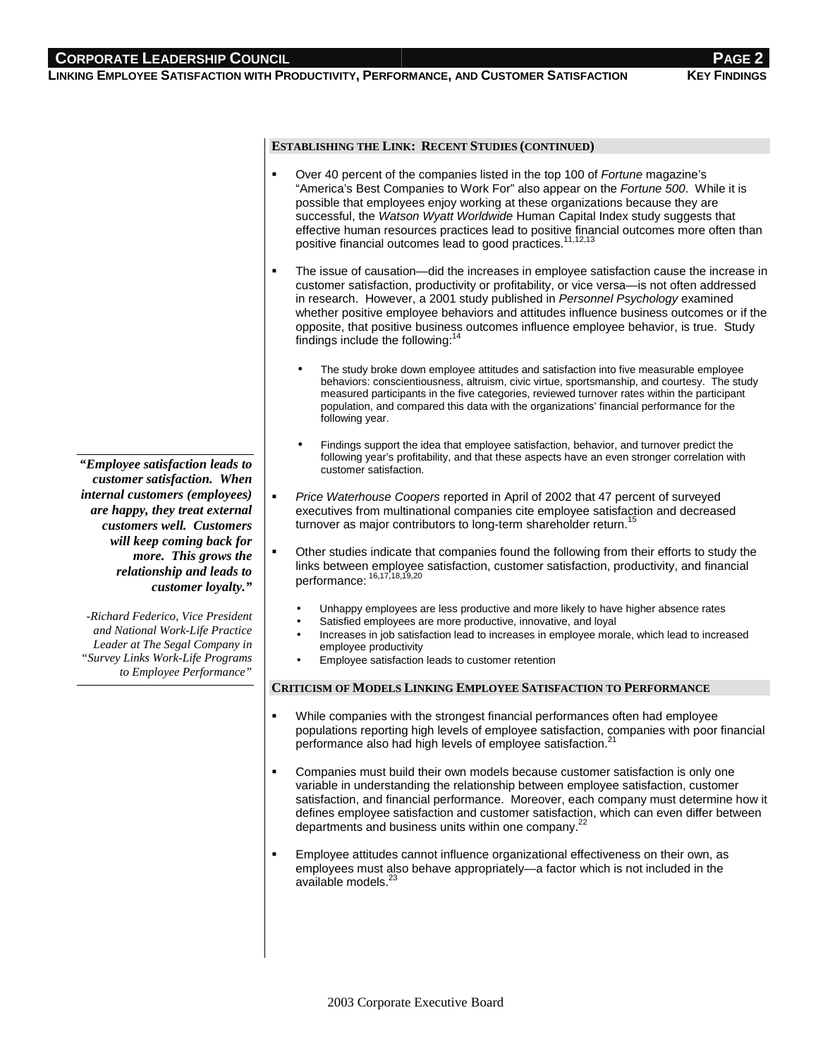# **CORPORATE LEADERSHIP COUNCIL**

**LINKING EMPLOYEE SATISFACTION WITH PRODUCTIVITY, PERFORMANCE, AND CUSTOMER SATISFACTION KEY FINDINGS**

### **ESTABLISHING THE LINK: RECENT STUDIES (CONTINUED)**

- Over 40 percent of the companies listed in the top 100 of Fortune magazine's "America's Best Companies to Work For" also appear on the Fortune 500. While it is possible that employees enjoy working at these organizations because they are successful, the Watson Wyatt Worldwide Human Capital Index study suggests that effective human resources practices lead to positive financial outcomes more often than positive financial outcomes lead to good practices.11,12,13
- The issue of causation—did the increases in employee satisfaction cause the increase in customer satisfaction, productivity or profitability, or vice versa—is not often addressed in research. However, a 2001 study published in Personnel Psychology examined whether positive employee behaviors and attitudes influence business outcomes or if the opposite, that positive business outcomes influence employee behavior, is true. Study findings include the following:<sup>14</sup>
	- The study broke down employee attitudes and satisfaction into five measurable employee behaviors: conscientiousness, altruism, civic virtue, sportsmanship, and courtesy. The study measured participants in the five categories, reviewed turnover rates within the participant population, and compared this data with the organizations' financial performance for the following year.
	- Findings support the idea that employee satisfaction, behavior, and turnover predict the following year's profitability, and that these aspects have an even stronger correlation with customer satisfaction.
- Price Waterhouse Coopers reported in April of 2002 that 47 percent of surveyed executives from multinational companies cite employee satisfaction and decreased turnover as major contributors to long-term shareholder return.<sup>15</sup>
- Other studies indicate that companies found the following from their efforts to study the links between employee satisfaction, customer satisfaction, productivity, and financial performance:<sup>16</sup>,17,18,19,<sup>20</sup>
	- Unhappy employees are less productive and more likely to have higher absence rates
	- Satisfied employees are more productive, innovative, and loyal
	- Increases in job satisfaction lead to increases in employee morale, which lead to increased employee productivity
	- Employee satisfaction leads to customer retention

#### **CRITICISM OF MODELS LINKING EMPLOYEE SATISFACTION TO PERFORMANCE**

- While companies with the strongest financial performances often had employee populations reporting high levels of employee satisfaction, companies with poor financial performance also had high levels of employee satisfaction.<sup>21</sup>
- Companies must build their own models because customer satisfaction is only one variable in understanding the relationship between employee satisfaction, customer satisfaction, and financial performance. Moreover, each company must determine how it defines employee satisfaction and customer satisfaction, which can even differ between departments and business units within one company.<sup>22</sup>
- Employee attitudes cannot influence organizational effectiveness on their own, as employees must also behave appropriately—a factor which is not included in the available models.<sup>2</sup>

*"Employee satisfaction leads to customer satisfaction. When internal customers (employees) are happy, they treat external customers well. Customers will keep coming back for more. This grows the relationship and leads to customer loyalty."*

*-Richard Federico, Vice President and National Work-Life Practice Leader at The Segal Company in "Survey Links Work-Life Programs to Employee Performance"*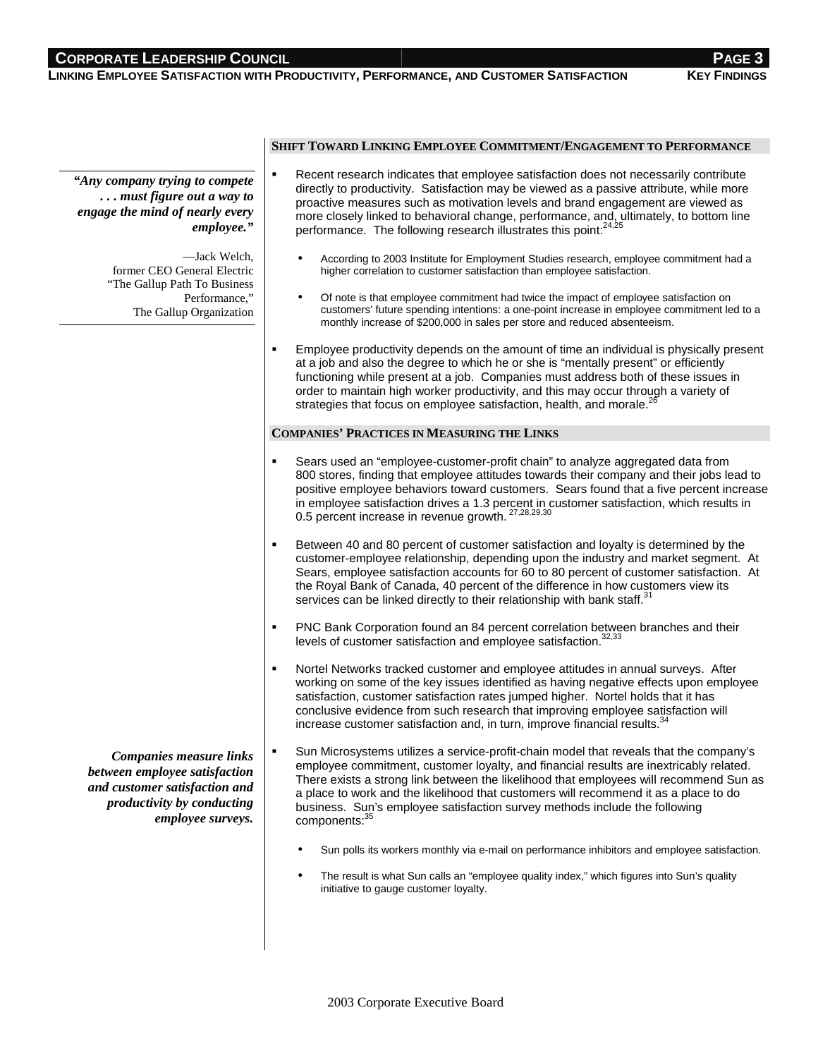## **CORPORATE LEADERSHIP COUNCIL**

**LINKING EMPLOYEE SATISFACTION WITH PRODUCTIVITY, PERFORMANCE, AND CUSTOMER SATISFACTION KEY FINDINGS**

*"Any company trying to compete . . . must figure out a way to engage the mind of nearly every employee."*

> —Jack Welch, former CEO General Electric "The Gallup Path To Business Performance," The Gallup Organization

## **SHIFT TOWARD LINKING EMPLOYEE COMMITMENT/ENGAGEMENT TO PERFORMANCE**

- Recent research indicates that employee satisfaction does not necessarily contribute directly to productivity. Satisfaction may be viewed as a passive attribute, while more proactive measures such as motivation levels and brand engagement are viewed as more closely linked to behavioral change, performance, and, ultimately, to bottom line performance. The following research illustrates this point:<sup>24,25</sup>
	- According to 2003 Institute for Employment Studies research, employee commitment had a higher correlation to customer satisfaction than employee satisfaction.
	- Of note is that employee commitment had twice the impact of employee satisfaction on customers' future spending intentions: a one-point increase in employee commitment led to a monthly increase of \$200,000 in sales per store and reduced absenteeism.
- Employee productivity depends on the amount of time an individual is physically present at a job and also the degree to which he or she is "mentally present" or efficiently functioning while present at a job. Companies must address both of these issues in order to maintain high worker productivity, and this may occur through a variety of strategies that focus on employee satisfaction, health, and morale.<sup>2</sup>

## **COMPANIES' PRACTICES IN MEASURING THE LINKS**

- Sears used an "employee-customer-profit chain" to analyze aggregated data from 800 stores, finding that employee attitudes towards their company and their jobs lead to positive employee behaviors toward customers. Sears found that a five percent increase in employee satisfaction drives a 1.3 percent in customer satisfaction, which results in 0.5 percent increase in revenue growth. <sup>27,28,29,30</sup>
- Between 40 and 80 percent of customer satisfaction and loyalty is determined by the customer-employee relationship, depending upon the industry and market segment. At Sears, employee satisfaction accounts for 60 to 80 percent of customer satisfaction. At the Royal Bank of Canada, 40 percent of the difference in how customers view its services can be linked directly to their relationship with bank staff.<sup>3</sup>
- PNC Bank Corporation found an 84 percent correlation between branches and their levels of customer satisfaction and employee satisfaction.<sup>32,33</sup>
- Nortel Networks tracked customer and employee attitudes in annual surveys. After working on some of the key issues identified as having negative effects upon employee satisfaction, customer satisfaction rates jumped higher. Nortel holds that it has conclusive evidence from such research that improving employee satisfaction will increase customer satisfaction and, in turn, improve financial results. $34$
- Sun Microsystems utilizes a service-profit-chain model that reveals that the company's employee commitment, customer loyalty, and financial results are inextricably related. There exists a strong link between the likelihood that employees will recommend Sun as a place to work and the likelihood that customers will recommend it as a place to do business. Sun's employee satisfaction survey methods include the following components: *Companies measure links between employee satisfaction and customer satisfaction and productivity by conducting employee surveys.*
	- Sun polls its workers monthly via e-mail on performance inhibitors and employee satisfaction.
	- The result is what Sun calls an "employee quality index," which figures into Sun's quality initiative to gauge customer loyalty.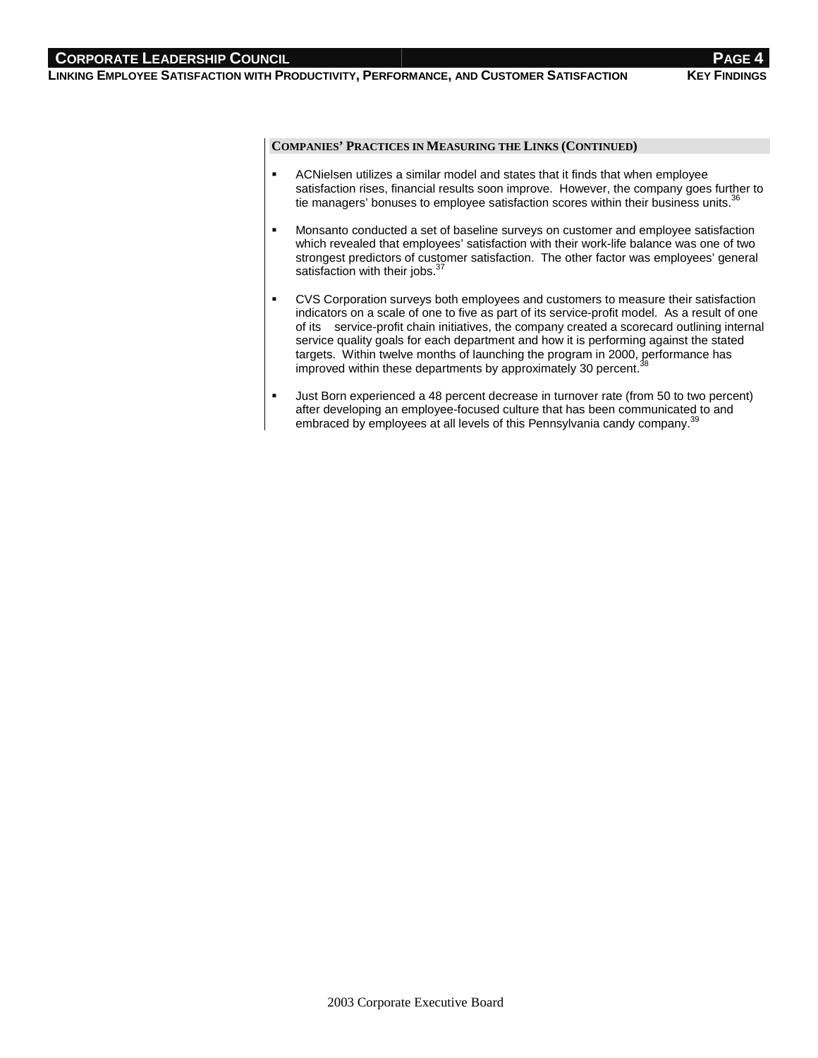## **CORPORATE LEADERSHIP COUNCIL And the contract of the contract of the contract of the contract of the contract of the contract of the contract of the contract of the contract of the contract of the contract of the contra**

**LINKING EMPLOYEE SATISFACTION WITH PRODUCTIVITY, PERFORMANCE, AND CUSTOMER SATISFACTION KEY FINDINGS**

## **COMPANIES' PRACTICES IN MEASURING THE LINKS (CONTINUED)**

- ACNielsen utilizes a similar model and states that it finds that when employee satisfaction rises, financial results soon improve. However, the company goes further to tie managers' bonuses to employee satisfaction scores within their business units.<sup>36</sup>
- Monsanto conducted a set of baseline surveys on customer and employee satisfaction which revealed that employees' satisfaction with their work-life balance was one of two strongest predictors of customer satisfaction. The other factor was employees' general satisfaction with their jobs.<sup>37</sup>
- CVS Corporation surveys both employees and customers to measure their satisfaction indicators on a scale of one to five as part of its service-profit model. As a result of one of its service-profit chain initiatives, the company created a scorecard outlining internal service quality goals for each department and how it is performing against the stated targets. Within twelve months of launching the program in 2000, performance has improved within these departments by approximately 30 percent.
- Just Born experienced a 48 percent decrease in turnover rate (from 50 to two percent) after developing an employee-focused culture that has been communicated to and embraced by employees at all levels of this Pennsylvania candy company.<sup>3</sup>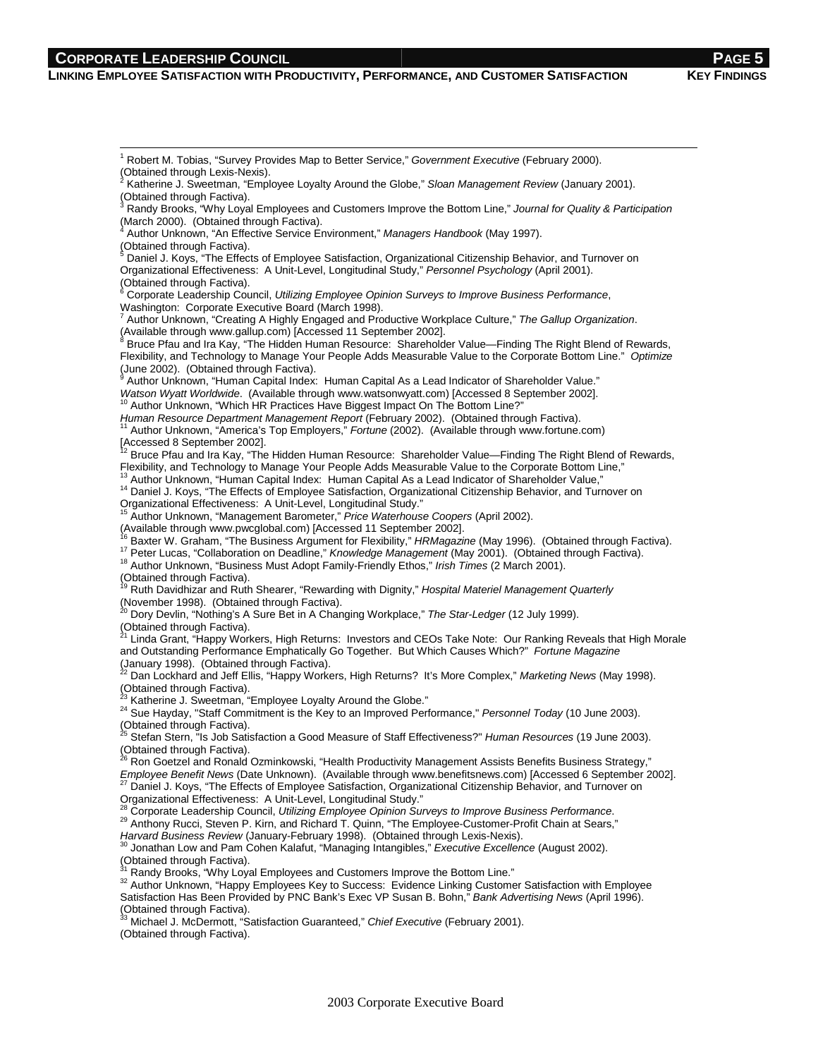## **CORPORATE LEADERSHIP COUNCIL**

 $\frac{1}{1}$ 

### **LINKING EMPLOYEE SATISFACTION WITH PRODUCTIVITY, PERFORMANCE, AND CUSTOMER SATISFACTION KEY FINDINGS**

<sup>1</sup> Robert M. Tobias, "Survey Provides Map to Better Service," Government Executive (February 2000). (Obtained through Lexis-Nexis). 2 Katherine J. Sweetman, "Employee Loyalty Around the Globe," Sloan Management Review (January 2001). (Obtained through Factiva).<br><sup>3</sup> Bandy Brooke, "Why Lovel Randy Brooks, "Why Loyal Employees and Customers Improve the Bottom Line," Journal for Quality & Participation (March 2000). (Obtained through Factiva).<br>4 Auther Unknown, "An Effective Sengee En Author Unknown, "An Effective Service Environment," Managers Handbook (May 1997). (Obtained through Factiva).<br><sup>5</sup> Daniel J. Koys, "The Effects of Employee Satisfaction, Organizational Citizenship Behavior, and Turnover on Organizational Effectiveness: A Unit-Level, Longitudinal Study," Personnel Psychology (April 2001). (Obtained through Factiva). 6 Corporate Leadership Council, Utilizing Employee Opinion Surveys to Improve Business Performance, Washington: Corporate Executive Board (March 1998).<br><sup>7</sup> Author Unknown "Creating A Highly Engegred and Proc Author Unknown, "Creating A Highly Engaged and Productive Workplace Culture," The Gallup Organization. (Available through www.gallup.com) [Accessed 11 September 2002].<br><sup>8</sup> Bruce Pfau and Ira Kay, "The Hidden Human Resource: Shareholder Value—Finding The Right Blend of Rewards, Flexibility, and Technology to Manage Your People Adds Measurable Value to the Corporate Bottom Line." Optimize (June 2002). (Obtained through Factiva). 9  $\,^\circ$  Author Unknown, "Human Capital Index: Human Capital As a Lead Indicator of Shareholder Value."<br>Watson Wyatt Worldwide. (Available through www.watsonwyatt.com) [Accessed 8 September 2002]. Watson Wyatt Worldwide. (A research 2002).<br><sup>10</sup> Author Unknown, "Which HR Practices Have Biggest Impact On The Bottom Line?" Human Resource Department Management Report (February 2002). (Obtained through Factiva).<br><sup>11</sup> Author Unknown, "America's Top Employers," Fortune (2002). (Available through www.fortune.com) [Accessed 8 September 2002].<br><sup>12</sup> Bruce Pfau and Ira Kay, "The Hidden Human Resource: Shareholder Value—Finding The Right Blend of Rewards, Flexibility, and Technology to Manage Your People Adds Measurable Value to the Corporate Bottom Line," <sup>14</sup> Daniel J. Koys, "The Effects of Employee Satisfaction, Organizational Citizenship Behavior, and Turnover on Organizational Effectiveness: A Unit-Level, Longitudinal Study." Author Unknown, "Management Barometer," Price Waterhouse Coopers (April 2002). (Available through www.pwcglobal.com) [Accessed 11 September 2002].<br><sup>16</sup> Baxter W. Graham, "The Business Argument for Flexibility," HRMagazine (May 1996). (Obtained through Factiva). <sup>17</sup> Peter Lucas, "Collaboration on Deadline," Knowledge Management (May 2001). (Obtained through Factiva).<br><sup>18</sup> Author Unknown, "Business Must Adopt Family-Friendly Ethos," Irish Times (2 March 2001). (Obtained through Factiva). Ruth Davidhizar and Ruth Shearer, "Rewarding with Dignity," Hospital Materiel Management Quarterly (November 1998). (Obtained through Factiva).<br><sup>20</sup> Dory Devlin, "Nothing's A Sure Bet in A Changing Workplace," *The Star-Ledger* (12 July 1999). (Obtained through Factiva).<br><sup>21</sup> Linda Grant, "Happy Workers, High Returns: Investors and CEOs Take Note: Our Ranking Reveals that High Morale and Outstanding Performance Emphatically Go Together. But Which Causes Which?" Fortune Magazine (January 1998). (Obtained through Factiva).<br><sup>22</sup> Dan Lockhard and Jeff Ellis, "Happy Workers, High Returns? It's More Complex," *Marketing News* (May 1998). (Obtained through Factiva).<br><sup>23</sup> Katherine J. Sweetman, "Employee Loyalty Around the Globe." <sup>24</sup> Sue Hayday, "Staff Commitment is the Key to an Improved Performance," Personnel Today (10 June 2003). (Obtained through Factiva).<br><sup>25</sup> Stefan Stern, "Is Job Satisfaction a Good Measure of Staff Effectiveness?" *Human Resources* (19 June 2003). (Obtained through Factiva). 26 Ron Goetzel and Ronald Ozminkowski, "Health Productivity Management Assists Benefits Business Strategy," Employee Benefit News (Date Unknown). (Available through www.benefitsnews.com) [Accessed 6 September 2002].<br><sup>27</sup> Daniel J. Koys, "The Effects of Employee Satisfaction, Organizational Citizenship Behavior, and Turnover on Organizational Effectiveness: A Unit-Level, Longitudinal Study."<br>
<sup>28</sup> Corporate Leadership Council, Utilizing Employee Opinion Surveys to Improve Business Performance. 29 Anthony Rucci, Steven P. Kirn, and Richard T. Quinn, "The Employee-Customer-Profit Chain at Sears," Harvard Business Review (January-February 1998). (Obtained through Lexis-Nexis).<br><sup>30</sup> Jonathan Low and Pam Cohen Kalafut, "Managing Intangibles," Executive Excellence (August 2002). (Obtained through Factiva).<br>
<sup>31</sup> Randy Brooks, "Why Loyal Employees and Customers Improve the Bottom Line." <sup>32</sup> Author Unknown, "Happy Employees Key to Success: Evidence Linking Customer Satisfaction with Employee Satisfaction Has Been Provided by PNC Bank's Exec VP Susan B. Bohn," Bank Advertising News (April 1996). (Obtained through Factiva).<br><sup>33</sup> Michael J. McDermott, "Satisfaction Guaranteed," *Chief Executive* (February 2001). (Obtained through Factiva).